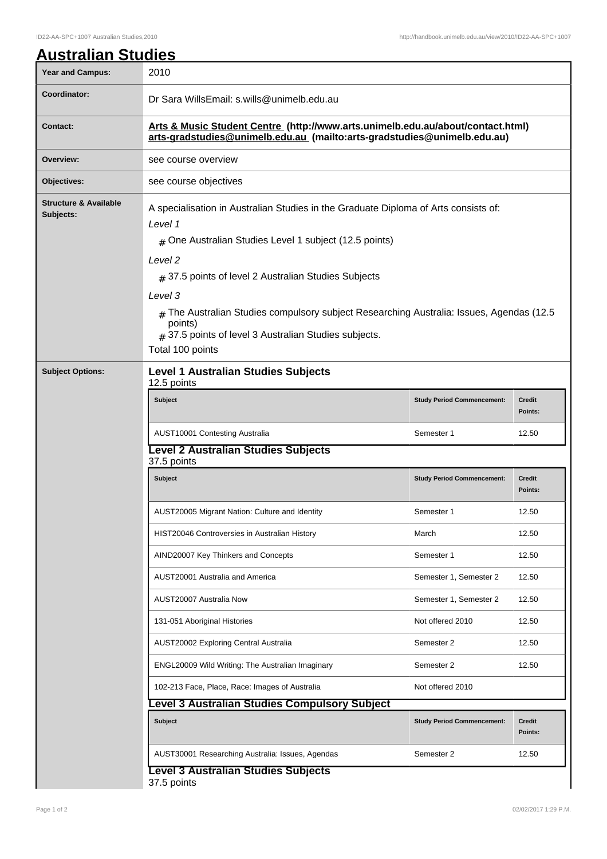## **Australian Studies** Year and Campus: 2010 **Coordinator:** Dr Sara WillsEmail: s.wills@unimelb.edu.au **Contact: Arts & Music Student Centre (http://www.arts.unimelb.edu.au/about/contact.html) arts-gradstudies@unimelb.edu.au (mailto:arts-gradstudies@unimelb.edu.au) Overview:** see course overview **Objectives:** see course objectives **Structure & Available Subjects:** A specialisation in Australian Studies in the Graduate Diploma of Arts consists of: Level 1 # One Australian Studies Level 1 subject (12.5 points) Level 2  $_{\#}$  37.5 points of level 2 Australian Studies Subjects Level 3  $#$  The Australian Studies compulsory subject Researching Australia: Issues, Agendas (12.5) points)  $_{\#}$  37.5 points of level 3 Australian Studies subjects. Total 100 points **Subject Options: Level 1 Australian Studies Subjects** 12.5 points **Subject Study Period Commencement: Credit Points:** AUST10001 Contesting Australia New York 12.50 **Level 2 Australian Studies Subjects** 37.5 points **Subject Study Period Commencement: Credit Points:** AUST20005 Migrant Nation: Culture and Identity **Semester 1** 12.50 HIST20046 Controversies in Australian History March March 12.50 AIND20007 Key Thinkers and Concepts Semester 1 12.50 AUST20001 Australia and America Semester 1, Semester 2 12.50 AUST20007 Australia Now Semester 2 12.50 131-051 Aboriginal Histories Note of the Not offered 2010 12.50 AUST20002 Exploring Central Australia Semester 2 12.50 ENGL20009 Wild Writing: The Australian Imaginary **Semester 2** 12.50 102-213 Face, Place, Race: Images of Australia Not offered 2010 **Level 3 Australian Studies Compulsory Subject Subject Study Period Commencement: Credit Points:** AUST30001 Researching Australia: Issues, Agendas Semester 2 12.50 **Level 3 Australian Studies Subjects**

37.5 points